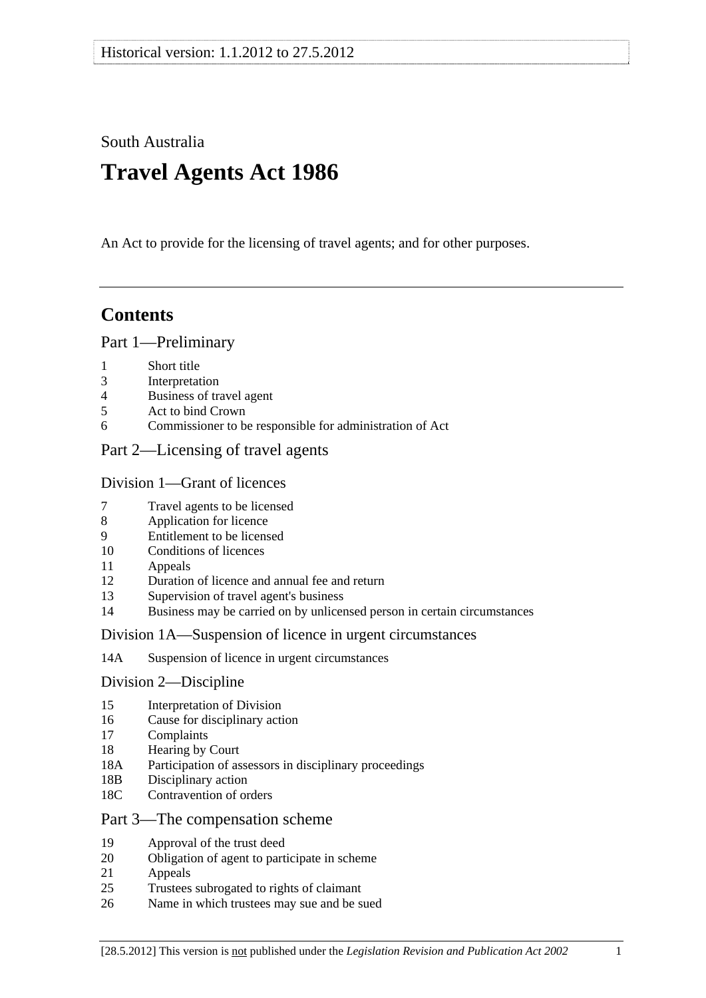South Australia

# **Travel Agents Act 1986**

An Act to provide for the licensing of travel agents; and for other purposes.

## **Contents**

### [Part 1—Preliminary](#page-1-0)

- [1 Short title](#page-1-0)
- [3 Interpretation](#page-1-0)
- [4 Business of travel agent](#page-2-0)
- [5 Act to bind Crown](#page-2-0)
- [6 Commissioner to be responsible for administration of Act](#page-3-0)

### [Part 2—Licensing of travel agents](#page-3-0)

### [Division 1—Grant of licences](#page-3-0)

- [7 Travel agents to be licensed](#page-3-0)
- [8 Application for licence](#page-3-0)
- [9 Entitlement to be licensed](#page-4-0)
- [10 Conditions of licences](#page-5-0)
- [11 Appeals](#page-5-0)
- [12 Duration of licence and annual fee and return](#page-5-0)
- [13 Supervision of travel agent's business](#page-6-0)
- [14 Business may be carried on by unlicensed person in certain circumstances](#page-6-0)

#### [Division 1A—Suspension of licence in urgent circumstances](#page-6-0)

[14A Suspension of licence in urgent circumstances](#page-6-0) 

#### [Division 2—Discipline](#page-7-0)

- [15 Interpretation of Division](#page-7-0)
- [16 Cause for disciplinary action](#page-7-0)
- [17 Complaints](#page-8-0)
- [18 Hearing by Court](#page-8-0)
- [18A Participation of assessors in disciplinary proceedings](#page-8-0)
- [18B Disciplinary action](#page-8-0)
- [18C Contravention of orders](#page-9-0)

#### [Part 3—The compensation scheme](#page-9-0)

- [19 Approval of the trust deed](#page-9-0)
- [20 Obligation of agent to participate in scheme](#page-10-0)
- [21 Appeals](#page-10-0)
- [25 Trustees subrogated to rights of claimant](#page-10-0)
- [26 Name in which trustees may sue and be sued](#page-10-0)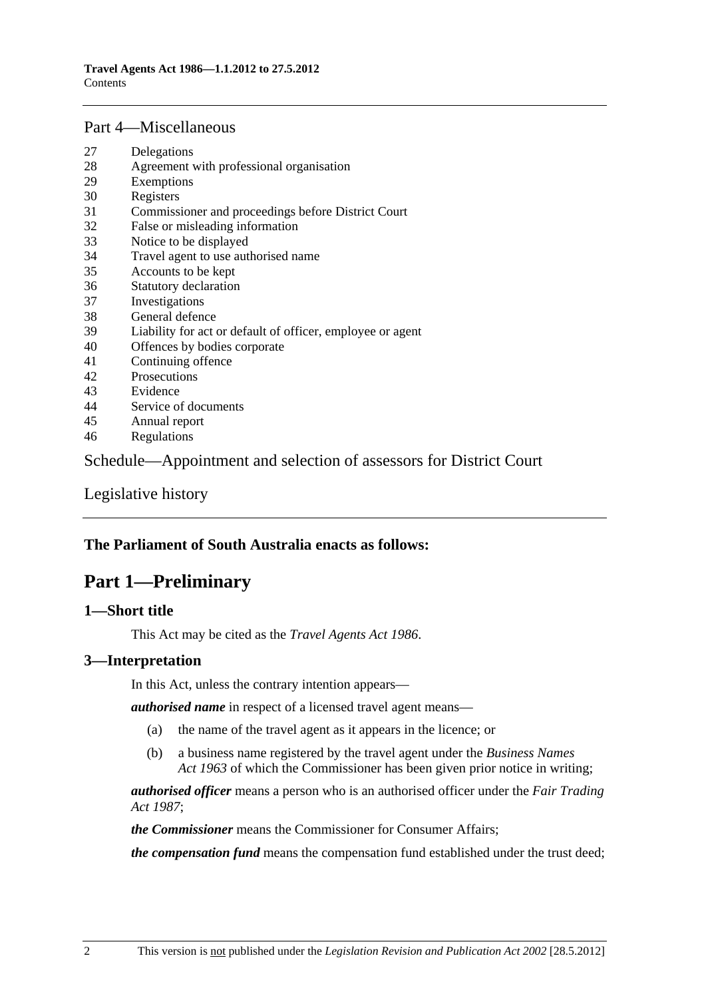#### <span id="page-1-0"></span>[Part 4—Miscellaneous](#page-10-0)

- [27 Delegations](#page-10-0)
- [28 Agreement with professional organisation](#page-11-0)
- [29 Exemptions](#page-12-0)
- [30 Registers](#page-12-0)
- [31 Commissioner and proceedings before District Court](#page-12-0)
- [32 False or misleading information](#page-12-0)
- [33 Notice to be displayed](#page-13-0)
- [34 Travel agent to use authorised name](#page-13-0)
- [35 Accounts to be kept](#page-13-0)
- [36 Statutory declaration](#page-13-0)
- [37 Investigations](#page-13-0)
- [38 General defence](#page-14-0)
- [39 Liability for act or default of officer, employee or agent](#page-14-0)
- [40 Offences by bodies corporate](#page-14-0)
- [41 Continuing offence](#page-14-0)
- [42 Prosecutions](#page-15-0)
- [43 Evidence](#page-15-0)
- [44 Service of documents](#page-15-0)
- [45 Annual report](#page-16-0)
- [46 Regulations](#page-16-0)

[Schedule—Appointment and selection of assessors for District Court](#page-17-0) 

[Legislative history](#page-18-0) 

### **The Parliament of South Australia enacts as follows:**

## **Part 1—Preliminary**

### **1—Short title**

This Act may be cited as the *Travel Agents Act 1986*.

#### **3—Interpretation**

In this Act, unless the contrary intention appears—

*authorised name* in respect of a licensed travel agent means—

- (a) the name of the travel agent as it appears in the licence; or
- (b) a business name registered by the travel agent under the *[Business Names](http://www.legislation.sa.gov.au/index.aspx?action=legref&type=act&legtitle=Business%20Names%20Act%201963)  [Act 1963](http://www.legislation.sa.gov.au/index.aspx?action=legref&type=act&legtitle=Business%20Names%20Act%201963)* of which the Commissioner has been given prior notice in writing;

*authorised officer* means a person who is an authorised officer under the *[Fair Trading](http://www.legislation.sa.gov.au/index.aspx?action=legref&type=act&legtitle=Fair%20Trading%20Act%201987)  [Act 1987](http://www.legislation.sa.gov.au/index.aspx?action=legref&type=act&legtitle=Fair%20Trading%20Act%201987)*;

*the Commissioner* means the Commissioner for Consumer Affairs;

*the compensation fund* means the compensation fund established under the trust deed;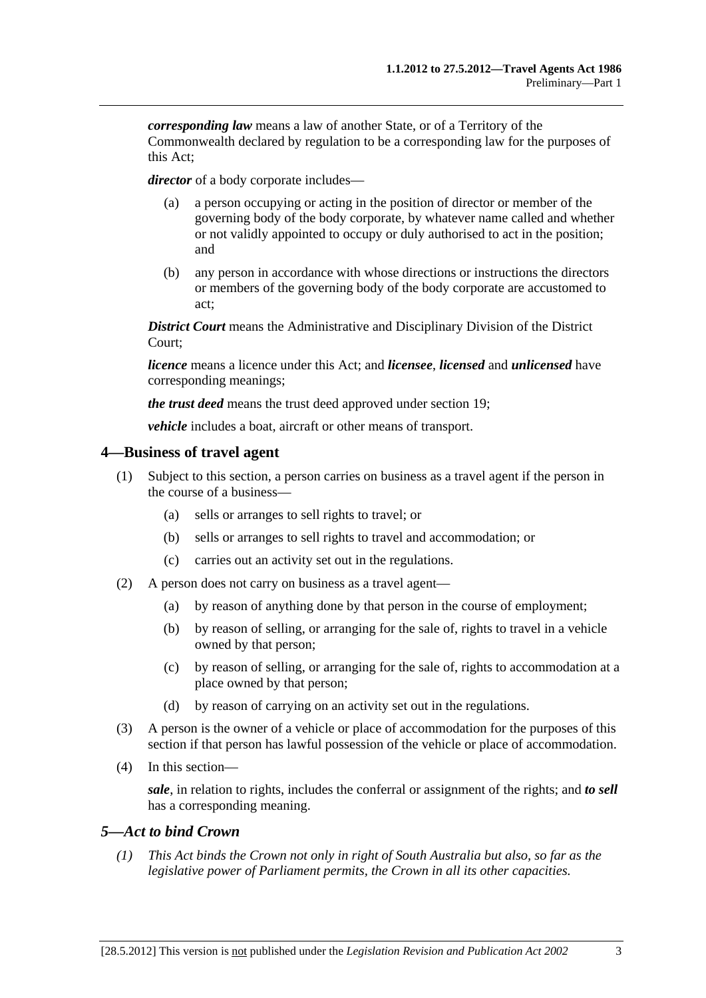<span id="page-2-0"></span>*corresponding law* means a law of another State, or of a Territory of the Commonwealth declared by regulation to be a corresponding law for the purposes of this Act;

*director* of a body corporate includes—

- (a) a person occupying or acting in the position of director or member of the governing body of the body corporate, by whatever name called and whether or not validly appointed to occupy or duly authorised to act in the position; and
- (b) any person in accordance with whose directions or instructions the directors or members of the governing body of the body corporate are accustomed to act;

*District Court* means the Administrative and Disciplinary Division of the District Court;

*licence* means a licence under this Act; and *licensee*, *licensed* and *unlicensed* have corresponding meanings;

*the trust deed* means the trust deed approved under [section 19](#page-9-0);

*vehicle* includes a boat, aircraft or other means of transport.

#### **4—Business of travel agent**

- (1) Subject to this section, a person carries on business as a travel agent if the person in the course of a business—
	- (a) sells or arranges to sell rights to travel; or
	- (b) sells or arranges to sell rights to travel and accommodation; or
	- (c) carries out an activity set out in the regulations.
- (2) A person does not carry on business as a travel agent—
	- (a) by reason of anything done by that person in the course of employment;
	- (b) by reason of selling, or arranging for the sale of, rights to travel in a vehicle owned by that person;
	- (c) by reason of selling, or arranging for the sale of, rights to accommodation at a place owned by that person;
	- (d) by reason of carrying on an activity set out in the regulations.
- (3) A person is the owner of a vehicle or place of accommodation for the purposes of this section if that person has lawful possession of the vehicle or place of accommodation.
- (4) In this section—

*sale*, in relation to rights, includes the conferral or assignment of the rights; and *to sell* has a corresponding meaning.

### *5—Act to bind Crown*

 *(1) This Act binds the Crown not only in right of South Australia but also, so far as the legislative power of Parliament permits, the Crown in all its other capacities.*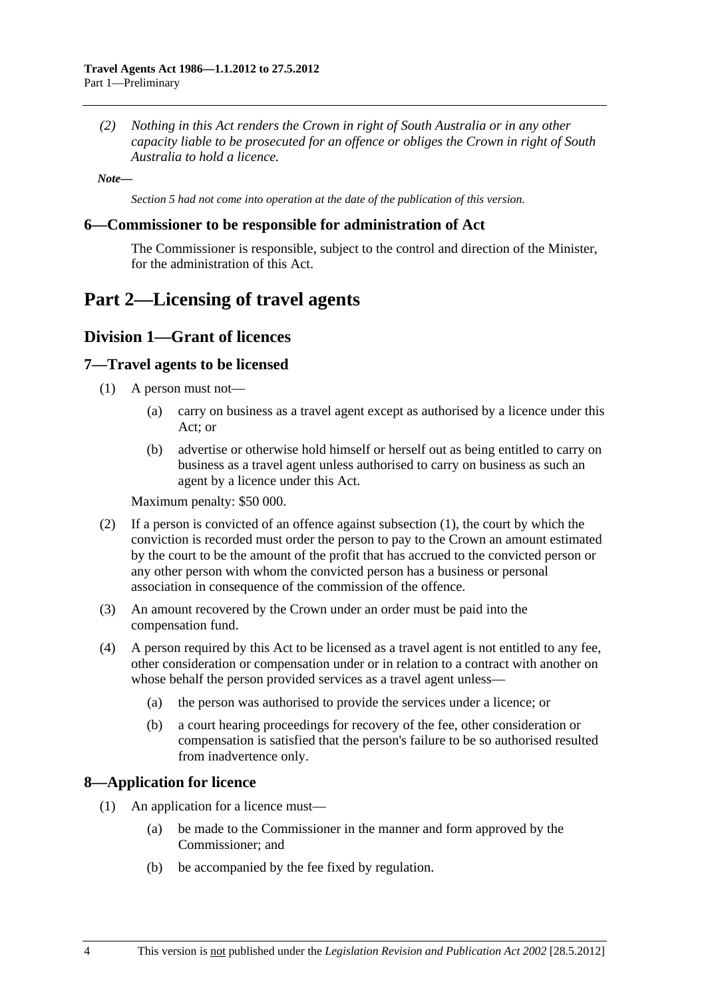<span id="page-3-0"></span> *(2) Nothing in this Act renders the Crown in right of South Australia or in any other capacity liable to be prosecuted for an offence or obliges the Crown in right of South Australia to hold a licence.* 

*Note—* 

*Section 5 had not come into operation at the date of the publication of this version.* 

#### **6—Commissioner to be responsible for administration of Act**

The Commissioner is responsible, subject to the control and direction of the Minister, for the administration of this Act.

## **Part 2—Licensing of travel agents**

### **Division 1—Grant of licences**

#### **7—Travel agents to be licensed**

- (1) A person must not—
	- (a) carry on business as a travel agent except as authorised by a licence under this Act; or
	- (b) advertise or otherwise hold himself or herself out as being entitled to carry on business as a travel agent unless authorised to carry on business as such an agent by a licence under this Act.

Maximum penalty: \$50 000.

- (2) If a person is convicted of an offence against [subsection \(1\),](#page-3-0) the court by which the conviction is recorded must order the person to pay to the Crown an amount estimated by the court to be the amount of the profit that has accrued to the convicted person or any other person with whom the convicted person has a business or personal association in consequence of the commission of the offence.
- (3) An amount recovered by the Crown under an order must be paid into the compensation fund.
- (4) A person required by this Act to be licensed as a travel agent is not entitled to any fee, other consideration or compensation under or in relation to a contract with another on whose behalf the person provided services as a travel agent unless—
	- (a) the person was authorised to provide the services under a licence; or
	- (b) a court hearing proceedings for recovery of the fee, other consideration or compensation is satisfied that the person's failure to be so authorised resulted from inadvertence only.

#### **8—Application for licence**

- (1) An application for a licence must—
	- (a) be made to the Commissioner in the manner and form approved by the Commissioner; and
	- (b) be accompanied by the fee fixed by regulation.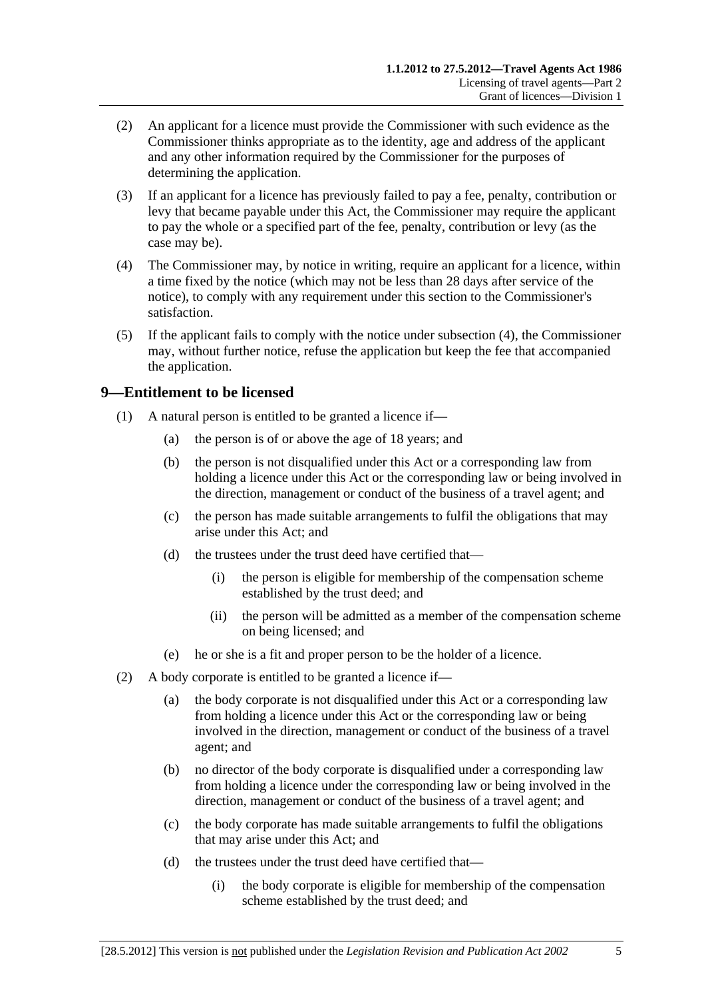- <span id="page-4-0"></span> (2) An applicant for a licence must provide the Commissioner with such evidence as the Commissioner thinks appropriate as to the identity, age and address of the applicant and any other information required by the Commissioner for the purposes of determining the application.
- (3) If an applicant for a licence has previously failed to pay a fee, penalty, contribution or levy that became payable under this Act, the Commissioner may require the applicant to pay the whole or a specified part of the fee, penalty, contribution or levy (as the case may be).
- (4) The Commissioner may, by notice in writing, require an applicant for a licence, within a time fixed by the notice (which may not be less than 28 days after service of the notice), to comply with any requirement under this section to the Commissioner's satisfaction.
- (5) If the applicant fails to comply with the notice under [subsection \(4\)](#page-4-0), the Commissioner may, without further notice, refuse the application but keep the fee that accompanied the application.

### **9—Entitlement to be licensed**

- (1) A natural person is entitled to be granted a licence if—
	- (a) the person is of or above the age of 18 years; and
	- (b) the person is not disqualified under this Act or a corresponding law from holding a licence under this Act or the corresponding law or being involved in the direction, management or conduct of the business of a travel agent; and
	- (c) the person has made suitable arrangements to fulfil the obligations that may arise under this Act; and
	- (d) the trustees under the trust deed have certified that—
		- (i) the person is eligible for membership of the compensation scheme established by the trust deed; and
		- (ii) the person will be admitted as a member of the compensation scheme on being licensed; and
	- (e) he or she is a fit and proper person to be the holder of a licence.
- (2) A body corporate is entitled to be granted a licence if—
	- (a) the body corporate is not disqualified under this Act or a corresponding law from holding a licence under this Act or the corresponding law or being involved in the direction, management or conduct of the business of a travel agent; and
	- (b) no director of the body corporate is disqualified under a corresponding law from holding a licence under the corresponding law or being involved in the direction, management or conduct of the business of a travel agent; and
	- (c) the body corporate has made suitable arrangements to fulfil the obligations that may arise under this Act; and
	- (d) the trustees under the trust deed have certified that—
		- (i) the body corporate is eligible for membership of the compensation scheme established by the trust deed; and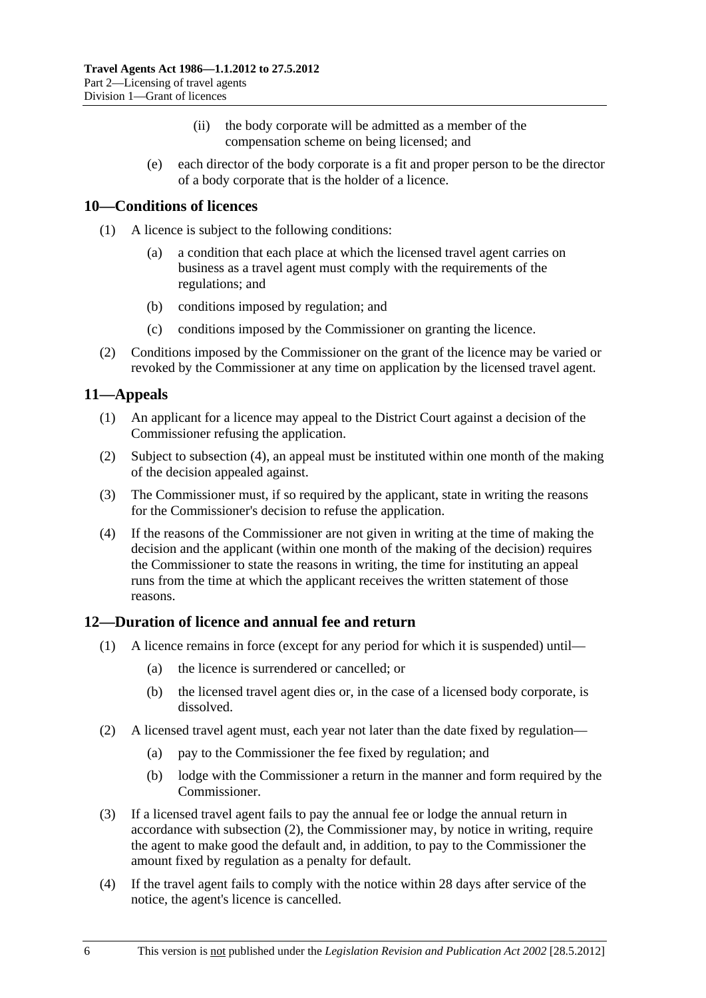- (ii) the body corporate will be admitted as a member of the compensation scheme on being licensed; and
- <span id="page-5-0"></span> (e) each director of the body corporate is a fit and proper person to be the director of a body corporate that is the holder of a licence.

### **10—Conditions of licences**

- (1) A licence is subject to the following conditions:
	- (a) a condition that each place at which the licensed travel agent carries on business as a travel agent must comply with the requirements of the regulations; and
	- (b) conditions imposed by regulation; and
	- (c) conditions imposed by the Commissioner on granting the licence.
- (2) Conditions imposed by the Commissioner on the grant of the licence may be varied or revoked by the Commissioner at any time on application by the licensed travel agent.

### **11—Appeals**

- (1) An applicant for a licence may appeal to the District Court against a decision of the Commissioner refusing the application.
- (2) Subject to [subsection \(4\),](#page-5-0) an appeal must be instituted within one month of the making of the decision appealed against.
- (3) The Commissioner must, if so required by the applicant, state in writing the reasons for the Commissioner's decision to refuse the application.
- (4) If the reasons of the Commissioner are not given in writing at the time of making the decision and the applicant (within one month of the making of the decision) requires the Commissioner to state the reasons in writing, the time for instituting an appeal runs from the time at which the applicant receives the written statement of those reasons.

### **12—Duration of licence and annual fee and return**

- (1) A licence remains in force (except for any period for which it is suspended) until—
	- (a) the licence is surrendered or cancelled; or
	- (b) the licensed travel agent dies or, in the case of a licensed body corporate, is dissolved.
- (2) A licensed travel agent must, each year not later than the date fixed by regulation—
	- (a) pay to the Commissioner the fee fixed by regulation; and
	- (b) lodge with the Commissioner a return in the manner and form required by the Commissioner.
- (3) If a licensed travel agent fails to pay the annual fee or lodge the annual return in accordance with [subsection \(2\)](#page-5-0), the Commissioner may, by notice in writing, require the agent to make good the default and, in addition, to pay to the Commissioner the amount fixed by regulation as a penalty for default.
- (4) If the travel agent fails to comply with the notice within 28 days after service of the notice, the agent's licence is cancelled.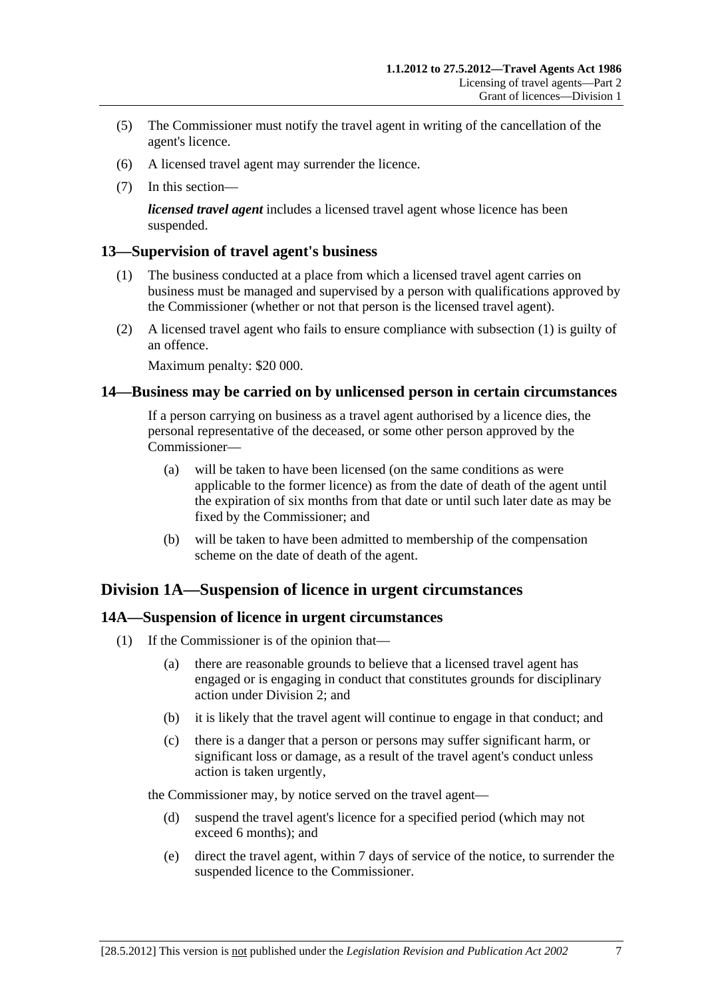- <span id="page-6-0"></span> (5) The Commissioner must notify the travel agent in writing of the cancellation of the agent's licence.
- (6) A licensed travel agent may surrender the licence.
- (7) In this section—

*licensed travel agent* includes a licensed travel agent whose licence has been suspended.

### **13—Supervision of travel agent's business**

- (1) The business conducted at a place from which a licensed travel agent carries on business must be managed and supervised by a person with qualifications approved by the Commissioner (whether or not that person is the licensed travel agent).
- (2) A licensed travel agent who fails to ensure compliance with [subsection \(1\)](#page-6-0) is guilty of an offence.

Maximum penalty: \$20 000.

### **14—Business may be carried on by unlicensed person in certain circumstances**

If a person carrying on business as a travel agent authorised by a licence dies, the personal representative of the deceased, or some other person approved by the Commissioner—

- (a) will be taken to have been licensed (on the same conditions as were applicable to the former licence) as from the date of death of the agent until the expiration of six months from that date or until such later date as may be fixed by the Commissioner; and
- (b) will be taken to have been admitted to membership of the compensation scheme on the date of death of the agent.

### **Division 1A—Suspension of licence in urgent circumstances**

### **14A—Suspension of licence in urgent circumstances**

- (1) If the Commissioner is of the opinion that—
	- (a) there are reasonable grounds to believe that a licensed travel agent has engaged or is engaging in conduct that constitutes grounds for disciplinary action under [Division 2;](#page-7-0) and
	- (b) it is likely that the travel agent will continue to engage in that conduct; and
	- (c) there is a danger that a person or persons may suffer significant harm, or significant loss or damage, as a result of the travel agent's conduct unless action is taken urgently,

the Commissioner may, by notice served on the travel agent—

- (d) suspend the travel agent's licence for a specified period (which may not exceed 6 months); and
- (e) direct the travel agent, within 7 days of service of the notice, to surrender the suspended licence to the Commissioner.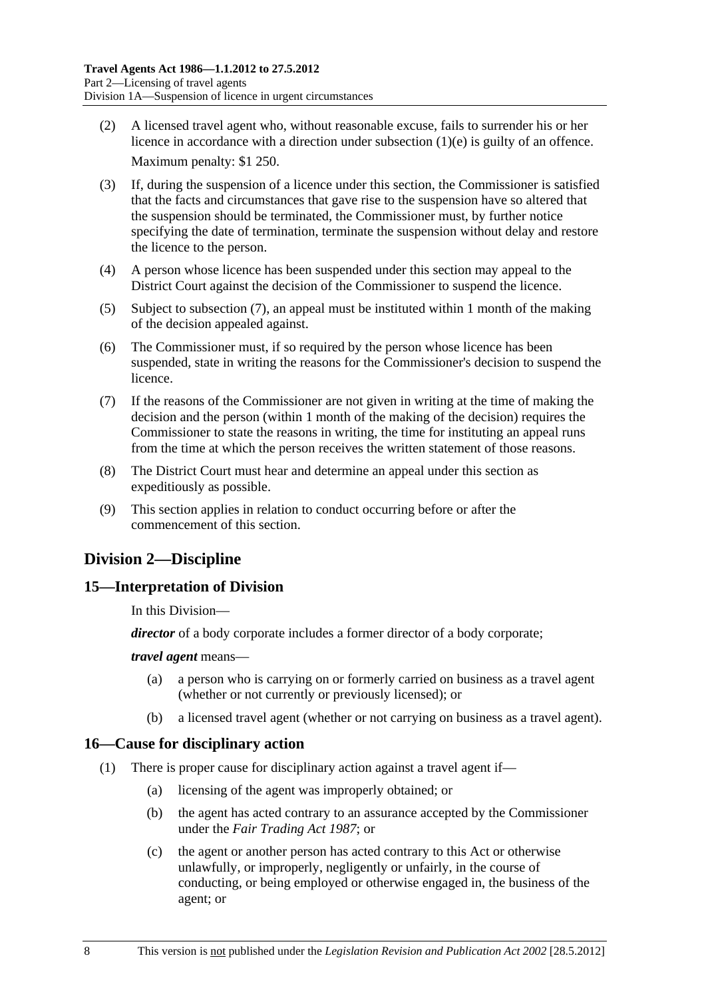- <span id="page-7-0"></span> (2) A licensed travel agent who, without reasonable excuse, fails to surrender his or her licence in accordance with a direction under [subsection \(1\)\(e\)](#page-6-0) is guilty of an offence. Maximum penalty: \$1 250.
- (3) If, during the suspension of a licence under this section, the Commissioner is satisfied that the facts and circumstances that gave rise to the suspension have so altered that the suspension should be terminated, the Commissioner must, by further notice specifying the date of termination, terminate the suspension without delay and restore the licence to the person.
- (4) A person whose licence has been suspended under this section may appeal to the District Court against the decision of the Commissioner to suspend the licence.
- (5) Subject to [subsection \(7\),](#page-7-0) an appeal must be instituted within 1 month of the making of the decision appealed against.
- (6) The Commissioner must, if so required by the person whose licence has been suspended, state in writing the reasons for the Commissioner's decision to suspend the licence.
- (7) If the reasons of the Commissioner are not given in writing at the time of making the decision and the person (within 1 month of the making of the decision) requires the Commissioner to state the reasons in writing, the time for instituting an appeal runs from the time at which the person receives the written statement of those reasons.
- (8) The District Court must hear and determine an appeal under this section as expeditiously as possible.
- (9) This section applies in relation to conduct occurring before or after the commencement of this section.

## **Division 2—Discipline**

### **15—Interpretation of Division**

In this Division—

*director* of a body corporate includes a former director of a body corporate;

#### *travel agent* means—

- (a) a person who is carrying on or formerly carried on business as a travel agent (whether or not currently or previously licensed); or
- (b) a licensed travel agent (whether or not carrying on business as a travel agent).

### **16—Cause for disciplinary action**

- (1) There is proper cause for disciplinary action against a travel agent if—
	- (a) licensing of the agent was improperly obtained; or
	- (b) the agent has acted contrary to an assurance accepted by the Commissioner under the *[Fair Trading Act 1987](http://www.legislation.sa.gov.au/index.aspx?action=legref&type=act&legtitle=Fair%20Trading%20Act%201987)*; or
	- (c) the agent or another person has acted contrary to this Act or otherwise unlawfully, or improperly, negligently or unfairly, in the course of conducting, or being employed or otherwise engaged in, the business of the agent; or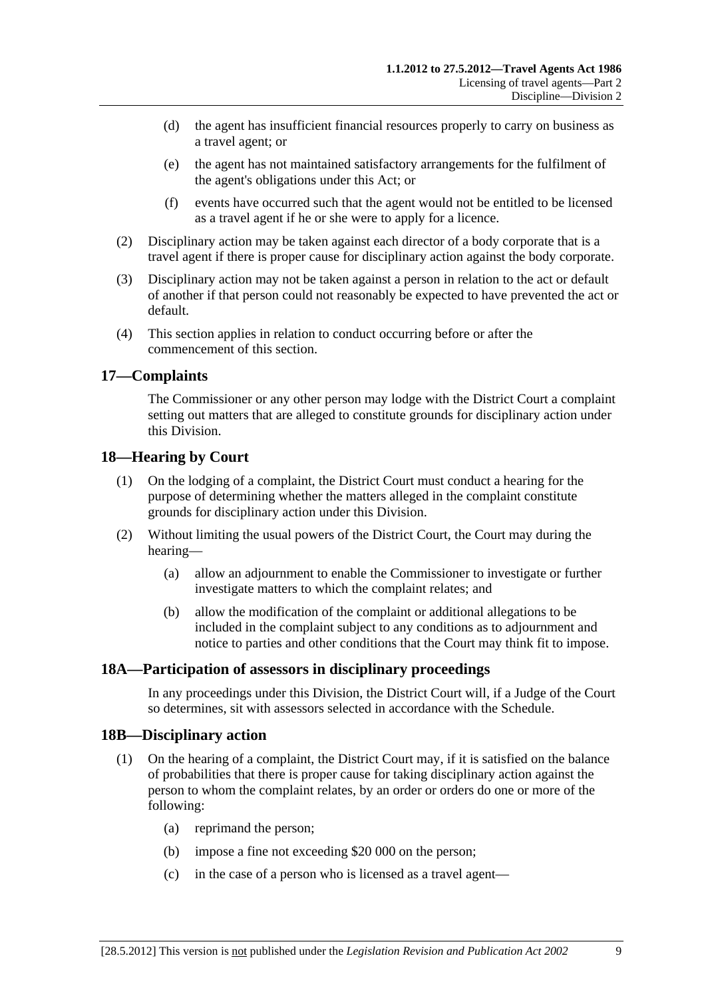- <span id="page-8-0"></span> (d) the agent has insufficient financial resources properly to carry on business as a travel agent; or
- (e) the agent has not maintained satisfactory arrangements for the fulfilment of the agent's obligations under this Act; or
- (f) events have occurred such that the agent would not be entitled to be licensed as a travel agent if he or she were to apply for a licence.
- (2) Disciplinary action may be taken against each director of a body corporate that is a travel agent if there is proper cause for disciplinary action against the body corporate.
- (3) Disciplinary action may not be taken against a person in relation to the act or default of another if that person could not reasonably be expected to have prevented the act or default.
- (4) This section applies in relation to conduct occurring before or after the commencement of this section.

### **17—Complaints**

The Commissioner or any other person may lodge with the District Court a complaint setting out matters that are alleged to constitute grounds for disciplinary action under this Division.

### **18—Hearing by Court**

- (1) On the lodging of a complaint, the District Court must conduct a hearing for the purpose of determining whether the matters alleged in the complaint constitute grounds for disciplinary action under this Division.
- (2) Without limiting the usual powers of the District Court, the Court may during the hearing—
	- (a) allow an adjournment to enable the Commissioner to investigate or further investigate matters to which the complaint relates; and
	- (b) allow the modification of the complaint or additional allegations to be included in the complaint subject to any conditions as to adjournment and notice to parties and other conditions that the Court may think fit to impose.

### **18A—Participation of assessors in disciplinary proceedings**

In any proceedings under this Division, the District Court will, if a Judge of the Court so determines, sit with assessors selected in accordance with the [Schedule](#page-17-0).

### **18B—Disciplinary action**

- (1) On the hearing of a complaint, the District Court may, if it is satisfied on the balance of probabilities that there is proper cause for taking disciplinary action against the person to whom the complaint relates, by an order or orders do one or more of the following:
	- (a) reprimand the person;
	- (b) impose a fine not exceeding \$20 000 on the person;
	- (c) in the case of a person who is licensed as a travel agent—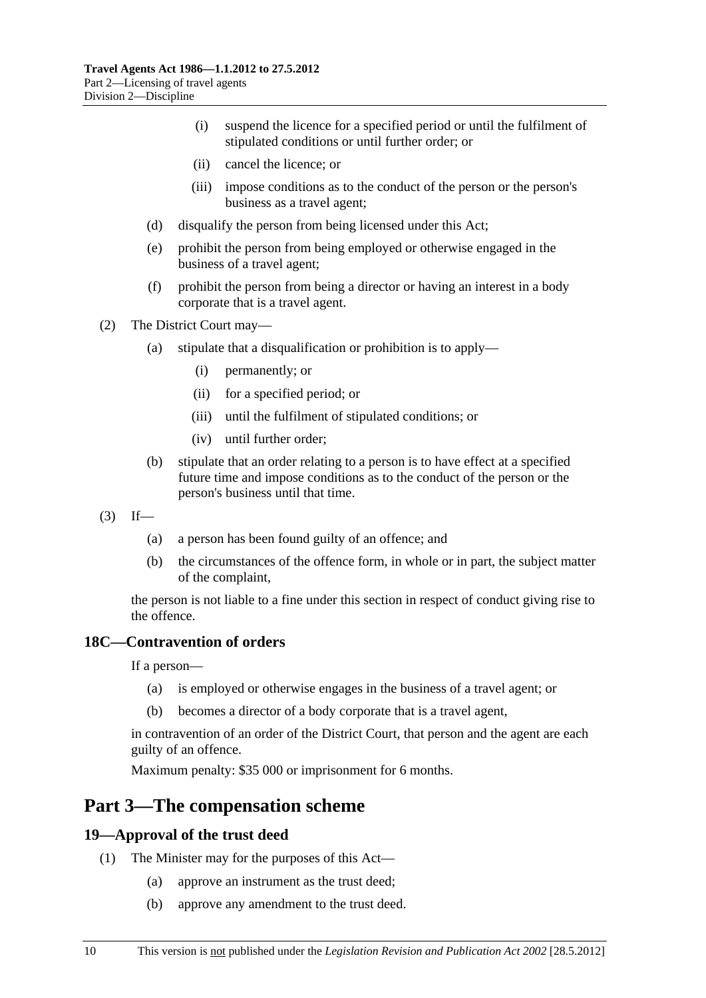- <span id="page-9-0"></span> (i) suspend the licence for a specified period or until the fulfilment of stipulated conditions or until further order; or
- (ii) cancel the licence; or
- (iii) impose conditions as to the conduct of the person or the person's business as a travel agent;
- (d) disqualify the person from being licensed under this Act;
- (e) prohibit the person from being employed or otherwise engaged in the business of a travel agent;
- (f) prohibit the person from being a director or having an interest in a body corporate that is a travel agent.

(2) The District Court may—

- (a) stipulate that a disqualification or prohibition is to apply—
	- (i) permanently; or
	- (ii) for a specified period; or
	- (iii) until the fulfilment of stipulated conditions; or
	- (iv) until further order;
- (b) stipulate that an order relating to a person is to have effect at a specified future time and impose conditions as to the conduct of the person or the person's business until that time.
- $(3)$  If—
	- (a) a person has been found guilty of an offence; and
	- (b) the circumstances of the offence form, in whole or in part, the subject matter of the complaint,

the person is not liable to a fine under this section in respect of conduct giving rise to the offence.

### **18C—Contravention of orders**

If a person—

- (a) is employed or otherwise engages in the business of a travel agent; or
- (b) becomes a director of a body corporate that is a travel agent,

in contravention of an order of the District Court, that person and the agent are each guilty of an offence.

Maximum penalty: \$35 000 or imprisonment for 6 months.

## **Part 3—The compensation scheme**

### **19—Approval of the trust deed**

- (1) The Minister may for the purposes of this Act—
	- (a) approve an instrument as the trust deed;
	- (b) approve any amendment to the trust deed.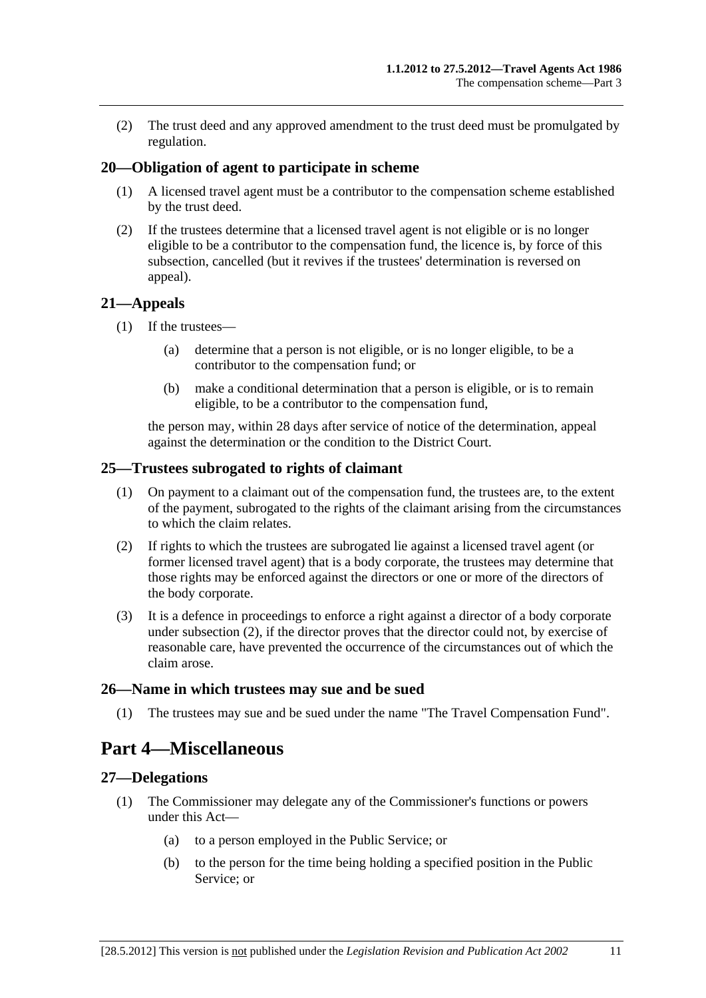<span id="page-10-0"></span> (2) The trust deed and any approved amendment to the trust deed must be promulgated by regulation.

### **20—Obligation of agent to participate in scheme**

- (1) A licensed travel agent must be a contributor to the compensation scheme established by the trust deed.
- (2) If the trustees determine that a licensed travel agent is not eligible or is no longer eligible to be a contributor to the compensation fund, the licence is, by force of this subsection, cancelled (but it revives if the trustees' determination is reversed on appeal).

#### **21—Appeals**

- (1) If the trustees—
	- (a) determine that a person is not eligible, or is no longer eligible, to be a contributor to the compensation fund; or
	- (b) make a conditional determination that a person is eligible, or is to remain eligible, to be a contributor to the compensation fund,

the person may, within 28 days after service of notice of the determination, appeal against the determination or the condition to the District Court.

#### **25—Trustees subrogated to rights of claimant**

- (1) On payment to a claimant out of the compensation fund, the trustees are, to the extent of the payment, subrogated to the rights of the claimant arising from the circumstances to which the claim relates.
- (2) If rights to which the trustees are subrogated lie against a licensed travel agent (or former licensed travel agent) that is a body corporate, the trustees may determine that those rights may be enforced against the directors or one or more of the directors of the body corporate.
- (3) It is a defence in proceedings to enforce a right against a director of a body corporate under [subsection \(2\),](#page-10-0) if the director proves that the director could not, by exercise of reasonable care, have prevented the occurrence of the circumstances out of which the claim arose.

#### **26—Name in which trustees may sue and be sued**

(1) The trustees may sue and be sued under the name "The Travel Compensation Fund".

## **Part 4—Miscellaneous**

#### **27—Delegations**

- (1) The Commissioner may delegate any of the Commissioner's functions or powers under this Act—
	- (a) to a person employed in the Public Service; or
	- (b) to the person for the time being holding a specified position in the Public Service; or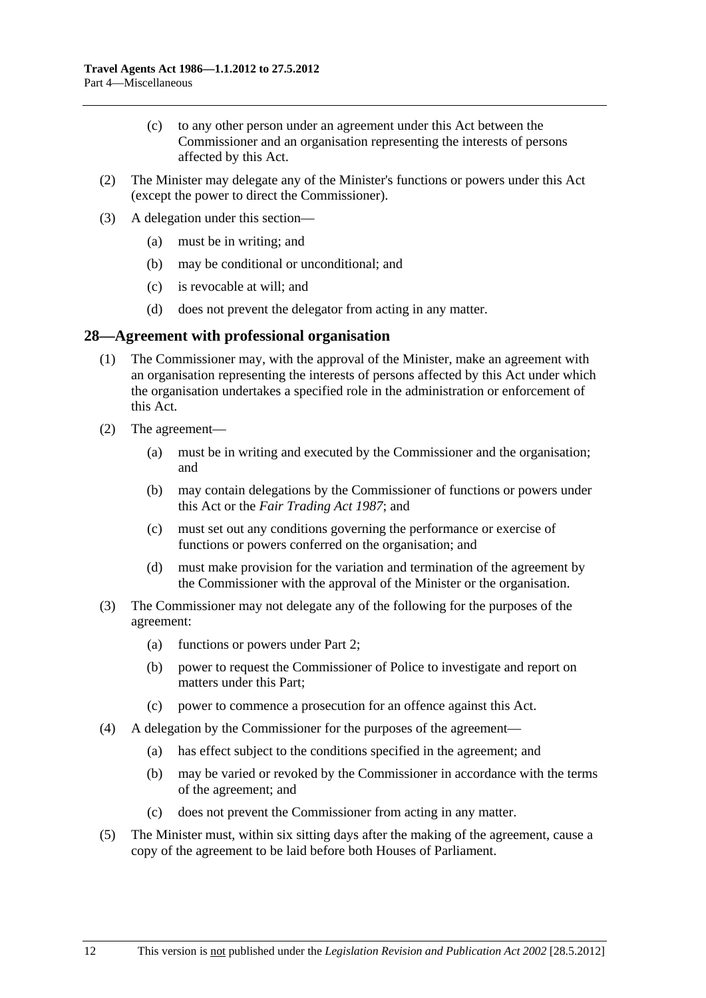- <span id="page-11-0"></span> (c) to any other person under an agreement under this Act between the Commissioner and an organisation representing the interests of persons affected by this Act.
- (2) The Minister may delegate any of the Minister's functions or powers under this Act (except the power to direct the Commissioner).
- (3) A delegation under this section—
	- (a) must be in writing; and
	- (b) may be conditional or unconditional; and
	- (c) is revocable at will; and
	- (d) does not prevent the delegator from acting in any matter.

### **28—Agreement with professional organisation**

- (1) The Commissioner may, with the approval of the Minister, make an agreement with an organisation representing the interests of persons affected by this Act under which the organisation undertakes a specified role in the administration or enforcement of this Act.
- (2) The agreement—
	- (a) must be in writing and executed by the Commissioner and the organisation; and
	- (b) may contain delegations by the Commissioner of functions or powers under this Act or the *[Fair Trading Act 1987](http://www.legislation.sa.gov.au/index.aspx?action=legref&type=act&legtitle=Fair%20Trading%20Act%201987)*; and
	- (c) must set out any conditions governing the performance or exercise of functions or powers conferred on the organisation; and
	- (d) must make provision for the variation and termination of the agreement by the Commissioner with the approval of the Minister or the organisation.
- (3) The Commissioner may not delegate any of the following for the purposes of the agreement:
	- (a) functions or powers under [Part 2;](#page-3-0)
	- (b) power to request the Commissioner of Police to investigate and report on matters under this Part;
	- (c) power to commence a prosecution for an offence against this Act.
- (4) A delegation by the Commissioner for the purposes of the agreement—
	- (a) has effect subject to the conditions specified in the agreement; and
	- (b) may be varied or revoked by the Commissioner in accordance with the terms of the agreement; and
	- (c) does not prevent the Commissioner from acting in any matter.
- (5) The Minister must, within six sitting days after the making of the agreement, cause a copy of the agreement to be laid before both Houses of Parliament.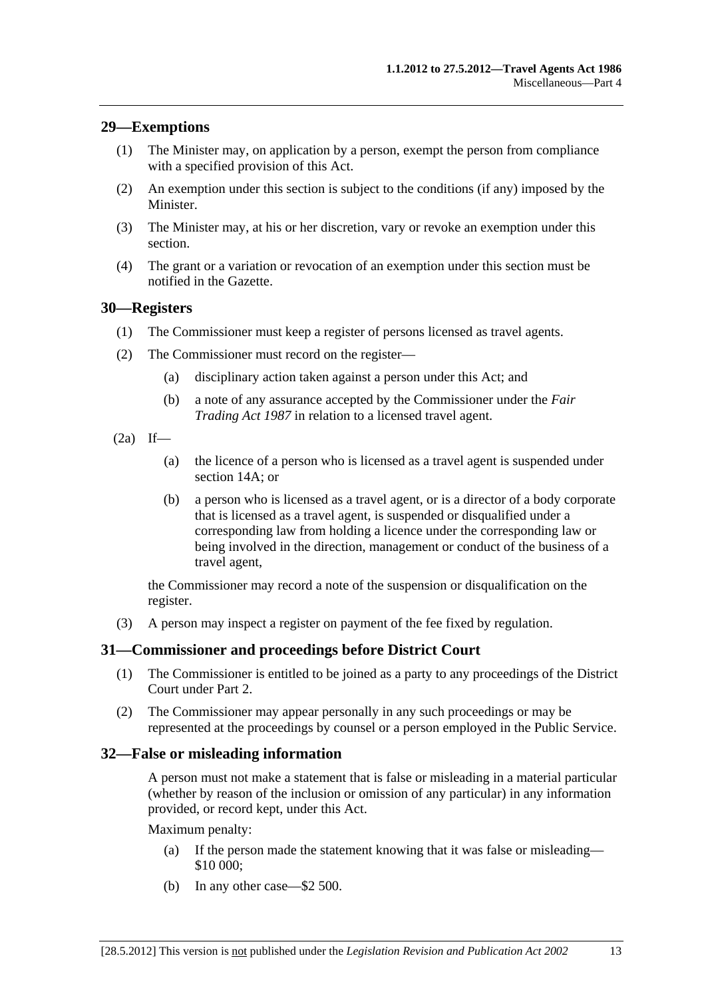### <span id="page-12-0"></span>**29—Exemptions**

- (1) The Minister may, on application by a person, exempt the person from compliance with a specified provision of this Act.
- (2) An exemption under this section is subject to the conditions (if any) imposed by the Minister.
- (3) The Minister may, at his or her discretion, vary or revoke an exemption under this section.
- (4) The grant or a variation or revocation of an exemption under this section must be notified in the Gazette.

### **30—Registers**

- (1) The Commissioner must keep a register of persons licensed as travel agents.
- (2) The Commissioner must record on the register—
	- (a) disciplinary action taken against a person under this Act; and
	- (b) a note of any assurance accepted by the Commissioner under the *[Fair](http://www.legislation.sa.gov.au/index.aspx?action=legref&type=act&legtitle=Fair%20Trading%20Act%201987)  [Trading Act 1987](http://www.legislation.sa.gov.au/index.aspx?action=legref&type=act&legtitle=Fair%20Trading%20Act%201987)* in relation to a licensed travel agent.
- $(2a)$  If—
	- (a) the licence of a person who is licensed as a travel agent is suspended under [section 14A;](#page-6-0) or
	- (b) a person who is licensed as a travel agent, or is a director of a body corporate that is licensed as a travel agent, is suspended or disqualified under a corresponding law from holding a licence under the corresponding law or being involved in the direction, management or conduct of the business of a travel agent,

the Commissioner may record a note of the suspension or disqualification on the register.

(3) A person may inspect a register on payment of the fee fixed by regulation.

### **31—Commissioner and proceedings before District Court**

- (1) The Commissioner is entitled to be joined as a party to any proceedings of the District Court under [Part 2](#page-3-0).
- (2) The Commissioner may appear personally in any such proceedings or may be represented at the proceedings by counsel or a person employed in the Public Service.

#### **32—False or misleading information**

A person must not make a statement that is false or misleading in a material particular (whether by reason of the inclusion or omission of any particular) in any information provided, or record kept, under this Act.

Maximum penalty:

- (a) If the person made the statement knowing that it was false or misleading— \$10 000;
- (b) In any other case—\$2 500.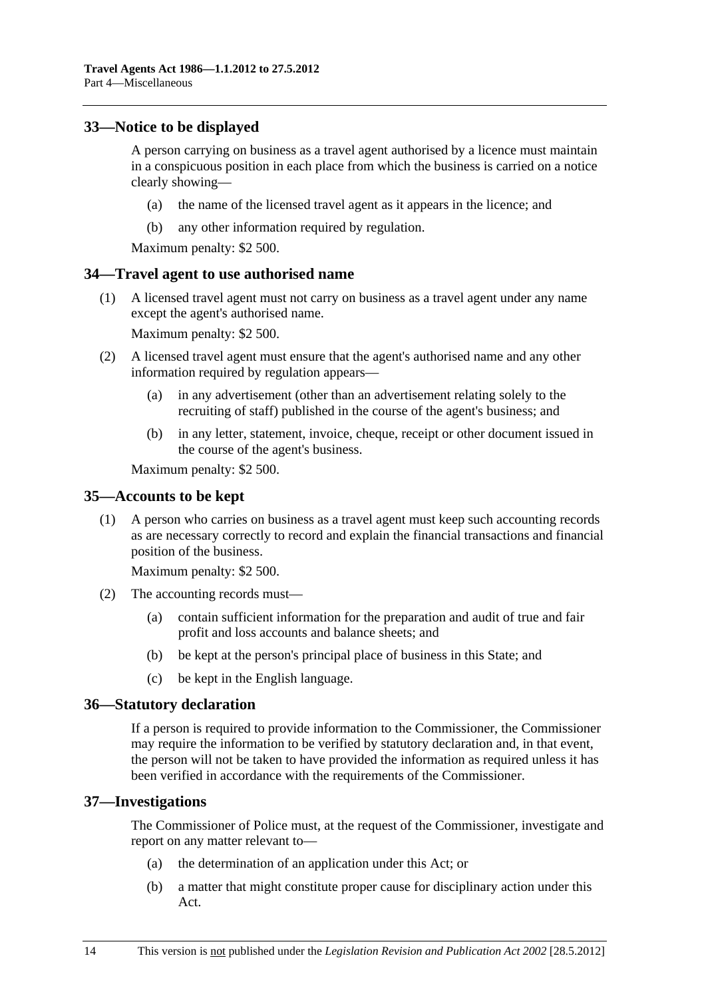### <span id="page-13-0"></span>**33—Notice to be displayed**

A person carrying on business as a travel agent authorised by a licence must maintain in a conspicuous position in each place from which the business is carried on a notice clearly showing—

- (a) the name of the licensed travel agent as it appears in the licence; and
- (b) any other information required by regulation.

Maximum penalty: \$2 500.

### **34—Travel agent to use authorised name**

 (1) A licensed travel agent must not carry on business as a travel agent under any name except the agent's authorised name.

Maximum penalty: \$2 500.

- (2) A licensed travel agent must ensure that the agent's authorised name and any other information required by regulation appears—
	- (a) in any advertisement (other than an advertisement relating solely to the recruiting of staff) published in the course of the agent's business; and
	- (b) in any letter, statement, invoice, cheque, receipt or other document issued in the course of the agent's business.

Maximum penalty: \$2 500.

#### **35—Accounts to be kept**

 (1) A person who carries on business as a travel agent must keep such accounting records as are necessary correctly to record and explain the financial transactions and financial position of the business.

Maximum penalty: \$2 500.

- (2) The accounting records must—
	- (a) contain sufficient information for the preparation and audit of true and fair profit and loss accounts and balance sheets; and
	- (b) be kept at the person's principal place of business in this State; and
	- (c) be kept in the English language.

#### **36—Statutory declaration**

If a person is required to provide information to the Commissioner, the Commissioner may require the information to be verified by statutory declaration and, in that event, the person will not be taken to have provided the information as required unless it has been verified in accordance with the requirements of the Commissioner.

#### **37—Investigations**

The Commissioner of Police must, at the request of the Commissioner, investigate and report on any matter relevant to—

- (a) the determination of an application under this Act; or
- (b) a matter that might constitute proper cause for disciplinary action under this Act.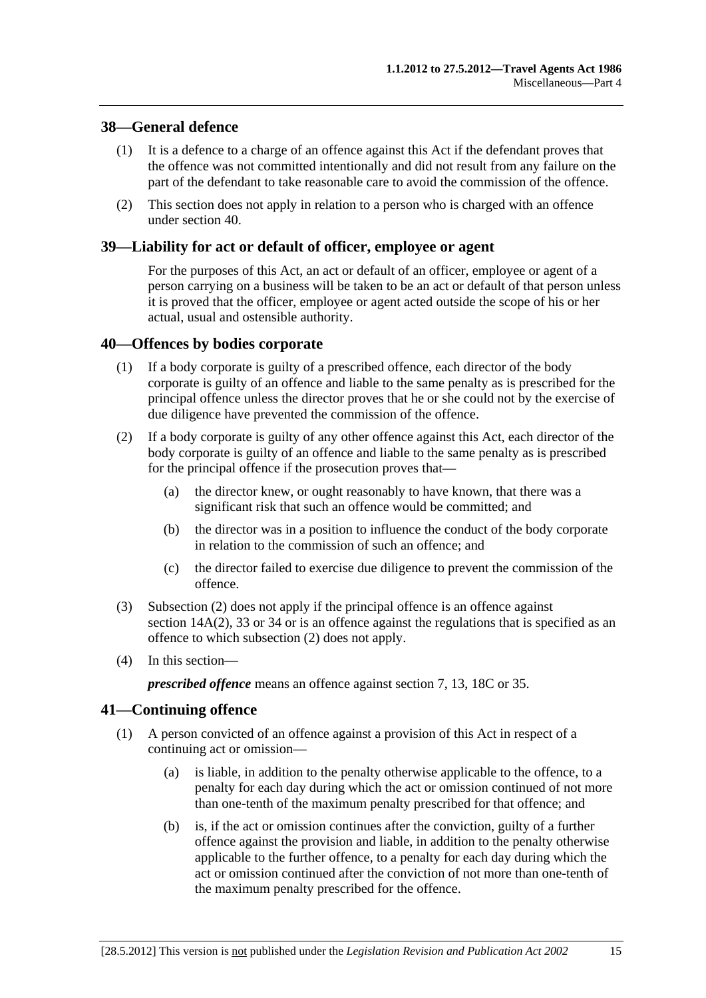### <span id="page-14-0"></span>**38—General defence**

- (1) It is a defence to a charge of an offence against this Act if the defendant proves that the offence was not committed intentionally and did not result from any failure on the part of the defendant to take reasonable care to avoid the commission of the offence.
- (2) This section does not apply in relation to a person who is charged with an offence under [section 40.](#page-14-0)

### **39—Liability for act or default of officer, employee or agent**

For the purposes of this Act, an act or default of an officer, employee or agent of a person carrying on a business will be taken to be an act or default of that person unless it is proved that the officer, employee or agent acted outside the scope of his or her actual, usual and ostensible authority.

### **40—Offences by bodies corporate**

- (1) If a body corporate is guilty of a prescribed offence, each director of the body corporate is guilty of an offence and liable to the same penalty as is prescribed for the principal offence unless the director proves that he or she could not by the exercise of due diligence have prevented the commission of the offence.
- (2) If a body corporate is guilty of any other offence against this Act, each director of the body corporate is guilty of an offence and liable to the same penalty as is prescribed for the principal offence if the prosecution proves that—
	- (a) the director knew, or ought reasonably to have known, that there was a significant risk that such an offence would be committed; and
	- (b) the director was in a position to influence the conduct of the body corporate in relation to the commission of such an offence; and
	- (c) the director failed to exercise due diligence to prevent the commission of the offence.
- (3) [Subsection \(2\)](#page-14-0) does not apply if the principal offence is an offence against [section 14A\(2\),](#page-7-0) [33](#page-13-0) or [34](#page-13-0) or is an offence against the regulations that is specified as an offence to which [subsection \(2\)](#page-14-0) does not apply.
- (4) In this section—

*prescribed offence* means an offence against [section 7,](#page-3-0) [13](#page-6-0), [18C](#page-9-0) or [35.](#page-13-0)

### **41—Continuing offence**

- (1) A person convicted of an offence against a provision of this Act in respect of a continuing act or omission—
	- (a) is liable, in addition to the penalty otherwise applicable to the offence, to a penalty for each day during which the act or omission continued of not more than one-tenth of the maximum penalty prescribed for that offence; and
	- (b) is, if the act or omission continues after the conviction, guilty of a further offence against the provision and liable, in addition to the penalty otherwise applicable to the further offence, to a penalty for each day during which the act or omission continued after the conviction of not more than one-tenth of the maximum penalty prescribed for the offence.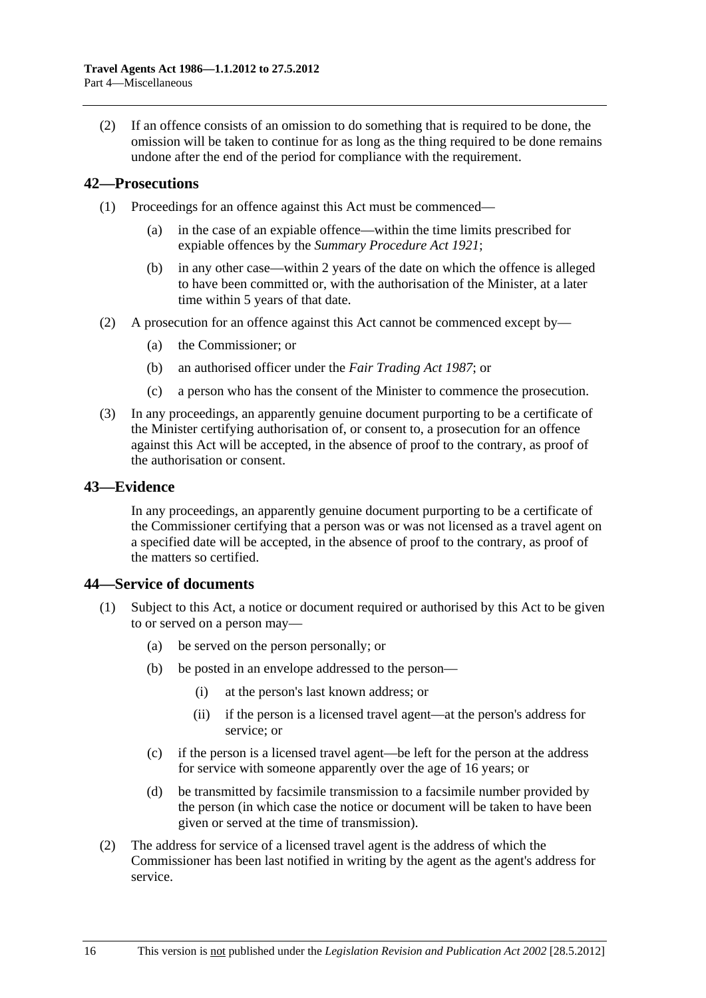<span id="page-15-0"></span> (2) If an offence consists of an omission to do something that is required to be done, the omission will be taken to continue for as long as the thing required to be done remains undone after the end of the period for compliance with the requirement.

### **42—Prosecutions**

- (1) Proceedings for an offence against this Act must be commenced—
	- (a) in the case of an expiable offence—within the time limits prescribed for expiable offences by the *[Summary Procedure Act 1921](http://www.legislation.sa.gov.au/index.aspx?action=legref&type=act&legtitle=Summary%20Procedure%20Act%201921)*;
	- (b) in any other case—within 2 years of the date on which the offence is alleged to have been committed or, with the authorisation of the Minister, at a later time within 5 years of that date.
- (2) A prosecution for an offence against this Act cannot be commenced except by—
	- (a) the Commissioner; or
	- (b) an authorised officer under the *[Fair Trading Act 1987](http://www.legislation.sa.gov.au/index.aspx?action=legref&type=act&legtitle=Fair%20Trading%20Act%201987)*; or
	- (c) a person who has the consent of the Minister to commence the prosecution.
- (3) In any proceedings, an apparently genuine document purporting to be a certificate of the Minister certifying authorisation of, or consent to, a prosecution for an offence against this Act will be accepted, in the absence of proof to the contrary, as proof of the authorisation or consent.

### **43—Evidence**

In any proceedings, an apparently genuine document purporting to be a certificate of the Commissioner certifying that a person was or was not licensed as a travel agent on a specified date will be accepted, in the absence of proof to the contrary, as proof of the matters so certified.

#### **44—Service of documents**

- (1) Subject to this Act, a notice or document required or authorised by this Act to be given to or served on a person may—
	- (a) be served on the person personally; or
	- (b) be posted in an envelope addressed to the person—
		- (i) at the person's last known address; or
		- (ii) if the person is a licensed travel agent—at the person's address for service; or
	- (c) if the person is a licensed travel agent—be left for the person at the address for service with someone apparently over the age of 16 years; or
	- (d) be transmitted by facsimile transmission to a facsimile number provided by the person (in which case the notice or document will be taken to have been given or served at the time of transmission).
- (2) The address for service of a licensed travel agent is the address of which the Commissioner has been last notified in writing by the agent as the agent's address for service.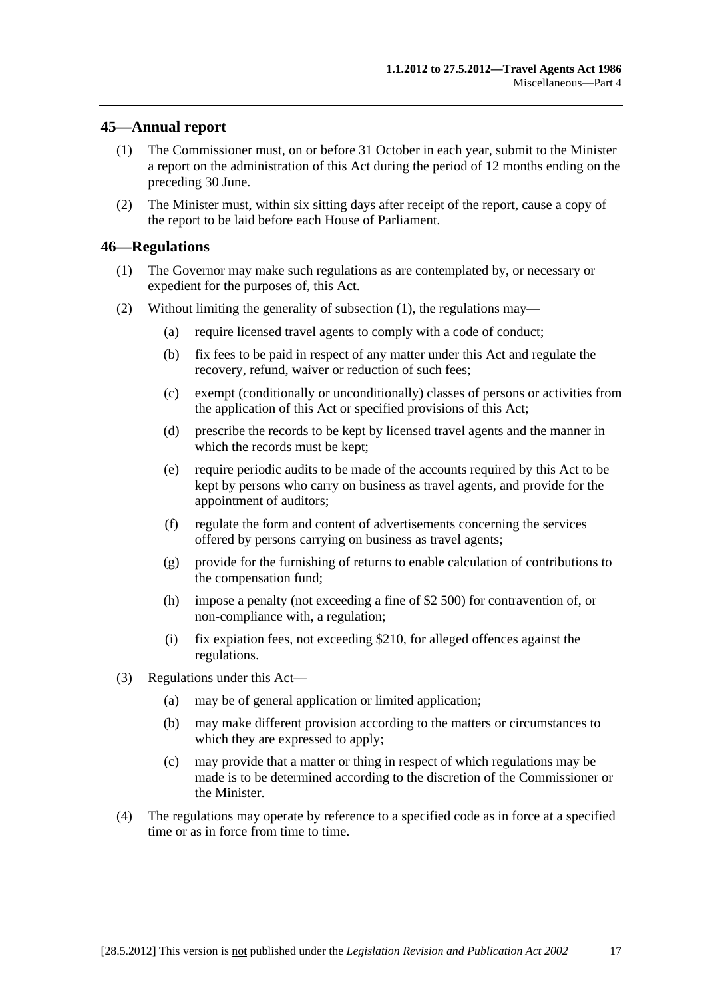### <span id="page-16-0"></span>**45—Annual report**

- (1) The Commissioner must, on or before 31 October in each year, submit to the Minister a report on the administration of this Act during the period of 12 months ending on the preceding 30 June.
- (2) The Minister must, within six sitting days after receipt of the report, cause a copy of the report to be laid before each House of Parliament.

### **46—Regulations**

- (1) The Governor may make such regulations as are contemplated by, or necessary or expedient for the purposes of, this Act.
- (2) Without limiting the generality of [subsection \(1\),](#page-16-0) the regulations may—
	- (a) require licensed travel agents to comply with a code of conduct;
	- (b) fix fees to be paid in respect of any matter under this Act and regulate the recovery, refund, waiver or reduction of such fees;
	- (c) exempt (conditionally or unconditionally) classes of persons or activities from the application of this Act or specified provisions of this Act;
	- (d) prescribe the records to be kept by licensed travel agents and the manner in which the records must be kept;
	- (e) require periodic audits to be made of the accounts required by this Act to be kept by persons who carry on business as travel agents, and provide for the appointment of auditors;
	- (f) regulate the form and content of advertisements concerning the services offered by persons carrying on business as travel agents;
	- (g) provide for the furnishing of returns to enable calculation of contributions to the compensation fund;
	- (h) impose a penalty (not exceeding a fine of \$2 500) for contravention of, or non-compliance with, a regulation;
	- (i) fix expiation fees, not exceeding \$210, for alleged offences against the regulations.
- (3) Regulations under this Act—
	- (a) may be of general application or limited application;
	- (b) may make different provision according to the matters or circumstances to which they are expressed to apply;
	- (c) may provide that a matter or thing in respect of which regulations may be made is to be determined according to the discretion of the Commissioner or the Minister.
- (4) The regulations may operate by reference to a specified code as in force at a specified time or as in force from time to time.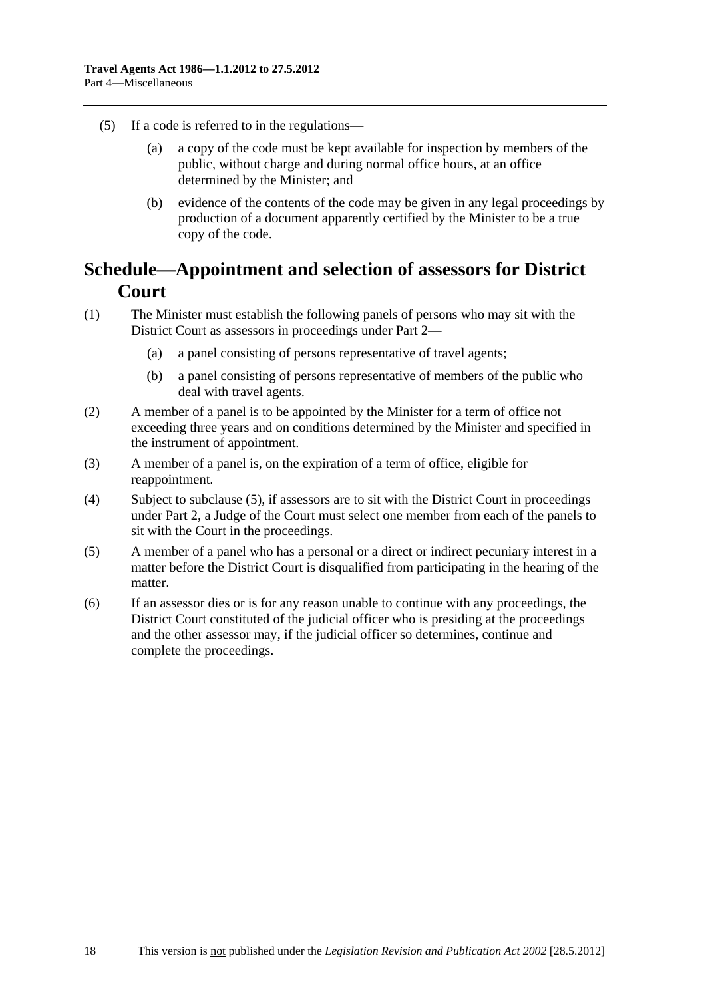- <span id="page-17-0"></span> (5) If a code is referred to in the regulations—
	- (a) a copy of the code must be kept available for inspection by members of the public, without charge and during normal office hours, at an office determined by the Minister; and
	- (b) evidence of the contents of the code may be given in any legal proceedings by production of a document apparently certified by the Minister to be a true copy of the code.

## **Schedule—Appointment and selection of assessors for District Court**

- (1) The Minister must establish the following panels of persons who may sit with the District Court as assessors in proceedings under [Part 2](#page-3-0)—
	- (a) a panel consisting of persons representative of travel agents;
	- (b) a panel consisting of persons representative of members of the public who deal with travel agents.
- (2) A member of a panel is to be appointed by the Minister for a term of office not exceeding three years and on conditions determined by the Minister and specified in the instrument of appointment.
- (3) A member of a panel is, on the expiration of a term of office, eligible for reappointment.
- (4) Subject to [subclause \(5\),](#page-17-0) if assessors are to sit with the District Court in proceedings under [Part 2,](#page-3-0) a Judge of the Court must select one member from each of the panels to sit with the Court in the proceedings.
- (5) A member of a panel who has a personal or a direct or indirect pecuniary interest in a matter before the District Court is disqualified from participating in the hearing of the matter.
- (6) If an assessor dies or is for any reason unable to continue with any proceedings, the District Court constituted of the judicial officer who is presiding at the proceedings and the other assessor may, if the judicial officer so determines, continue and complete the proceedings.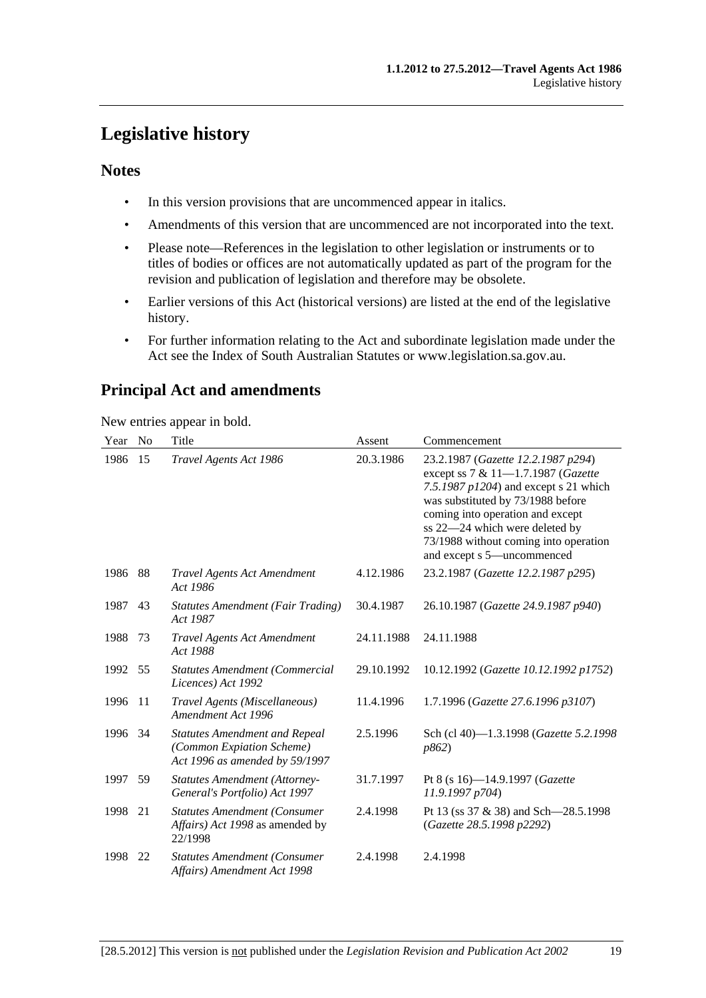## <span id="page-18-0"></span>**Legislative history**

### **Notes**

- In this version provisions that are uncommenced appear in italics.
- Amendments of this version that are uncommenced are not incorporated into the text.
- Please note—References in the legislation to other legislation or instruments or to titles of bodies or offices are not automatically updated as part of the program for the revision and publication of legislation and therefore may be obsolete.
- Earlier versions of this Act (historical versions) are listed at the end of the legislative history.
- For further information relating to the Act and subordinate legislation made under the Act see the Index of South Australian Statutes or www.legislation.sa.gov.au.

## **Principal Act and amendments**

New entries appear in bold.

| Year | No | Title                                                                                               | Assent     | Commencement                                                                                                                                                                                                                                                                                           |
|------|----|-----------------------------------------------------------------------------------------------------|------------|--------------------------------------------------------------------------------------------------------------------------------------------------------------------------------------------------------------------------------------------------------------------------------------------------------|
| 1986 | 15 | Travel Agents Act 1986                                                                              | 20.3.1986  | 23.2.1987 (Gazette 12.2.1987 p294)<br>except ss 7 & 11-1.7.1987 (Gazette<br>7.5.1987 $p1204$ ) and except s 21 which<br>was substituted by 73/1988 before<br>coming into operation and except<br>ss 22-24 which were deleted by<br>73/1988 without coming into operation<br>and except s 5-uncommenced |
| 1986 | 88 | <b>Travel Agents Act Amendment</b><br>Act 1986                                                      | 4.12.1986  | 23.2.1987 (Gazette 12.2.1987 p295)                                                                                                                                                                                                                                                                     |
| 1987 | 43 | <b>Statutes Amendment (Fair Trading)</b><br>Act 1987                                                | 30.4.1987  | 26.10.1987 (Gazette 24.9.1987 p940)                                                                                                                                                                                                                                                                    |
| 1988 | 73 | <b>Travel Agents Act Amendment</b><br>Act 1988                                                      | 24.11.1988 | 24.11.1988                                                                                                                                                                                                                                                                                             |
| 1992 | 55 | <b>Statutes Amendment (Commercial</b><br>Licences) Act 1992                                         | 29.10.1992 | 10.12.1992 (Gazette 10.12.1992 p1752)                                                                                                                                                                                                                                                                  |
| 1996 | 11 | Travel Agents (Miscellaneous)<br>Amendment Act 1996                                                 | 11.4.1996  | 1.7.1996 (Gazette 27.6.1996 p3107)                                                                                                                                                                                                                                                                     |
| 1996 | 34 | <b>Statutes Amendment and Repeal</b><br>(Common Expiation Scheme)<br>Act 1996 as amended by 59/1997 | 2.5.1996   | Sch (cl 40)-1.3.1998 (Gazette 5.2.1998<br>p862)                                                                                                                                                                                                                                                        |
| 1997 | 59 | <b>Statutes Amendment (Attorney-</b><br>General's Portfolio) Act 1997                               | 31.7.1997  | Pt 8 (s $16$ )-14.9.1997 ( <i>Gazette</i><br>11.9.1997 p704)                                                                                                                                                                                                                                           |
| 1998 | 21 | <b>Statutes Amendment (Consumer</b><br>Affairs) Act 1998 as amended by<br>22/1998                   | 2.4.1998   | Pt 13 (ss 37 & 38) and Sch—28.5.1998<br>(Gazette 28.5.1998 p2292)                                                                                                                                                                                                                                      |
| 1998 | 22 | <b>Statutes Amendment (Consumer</b><br>Affairs) Amendment Act 1998                                  | 2.4.1998   | 2.4.1998                                                                                                                                                                                                                                                                                               |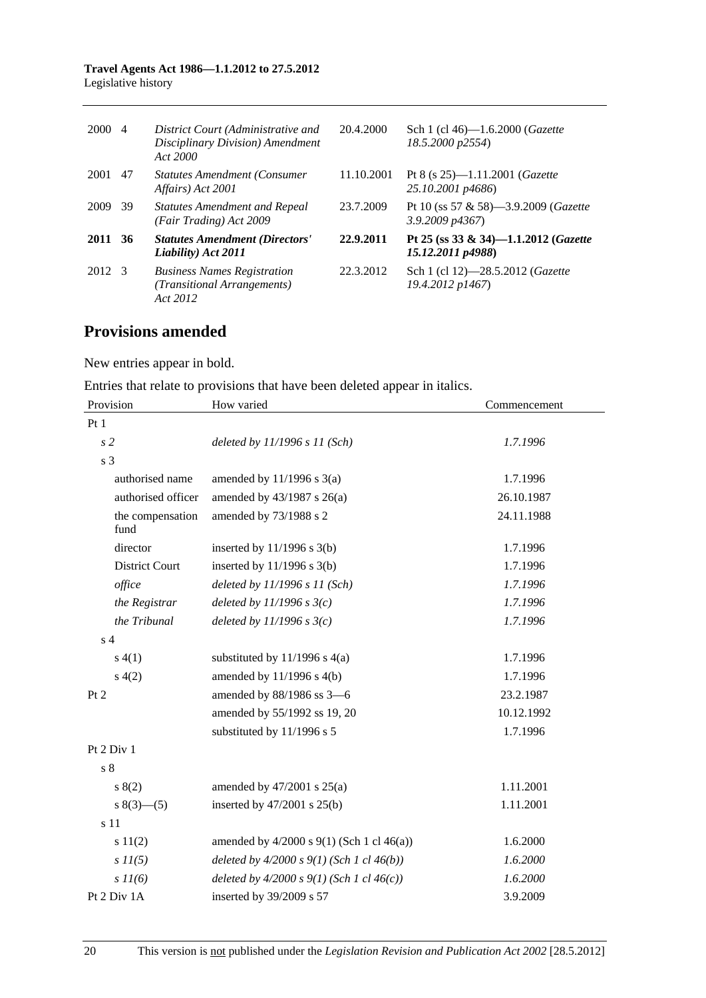#### **Travel Agents Act 1986—1.1.2012 to 27.5.2012**  Legislative history

| 2000    | -4  | District Court (Administrative and<br>Disciplinary Division) Amendment<br>Act 2000 | 20.4.2000  | Sch 1 (cl 46)-1.6.2000 (Gazette<br>18.5.2000 p2554)                |
|---------|-----|------------------------------------------------------------------------------------|------------|--------------------------------------------------------------------|
| 2001    | 47  | <b>Statutes Amendment (Consumer</b><br>Affairs) Act 2001                           | 11.10.2001 | Pt 8 (s $25$ )-1.11.2001 ( <i>Gazette</i><br>25.10.2001 p4686)     |
| 2009    | -39 | <b>Statutes Amendment and Repeal</b><br>(Fair Trading) Act 2009                    | 23.7.2009  | Pt 10 (ss 57 & 58)—3.9.2009 ( <i>Gazette</i><br>$3.9.2009$ $p4367$ |
| 2011 36 |     | <b>Statutes Amendment (Directors'</b><br>Liability) Act 2011                       | 22.9.2011  | Pt 25 (ss 33 & 34)-1.1.2012 (Gazette<br>15.12.2011 p4988)          |
| 2012 3  |     | <b>Business Names Registration</b><br>(Transitional Arrangements)<br>Act 2012      | 22.3.2012  | Sch 1 (cl 12)-28.5.2012 ( <i>Gazette</i><br>19.4.2012 p1467)       |

## **Provisions amended**

New entries appear in bold.

Entries that relate to provisions that have been deleted appear in italics.

| Provision                | How varied                                       | Commencement |  |
|--------------------------|--------------------------------------------------|--------------|--|
| Pt1                      |                                                  |              |  |
| s <sub>2</sub>           | deleted by $11/1996 s 11 (Sch)$                  | 1.7.1996     |  |
| s <sub>3</sub>           |                                                  |              |  |
| authorised name          | amended by $11/1996$ s $3(a)$                    | 1.7.1996     |  |
| authorised officer       | amended by $43/1987$ s $26(a)$                   | 26.10.1987   |  |
| the compensation<br>fund | amended by 73/1988 s 2                           | 24.11.1988   |  |
| director                 | inserted by $11/1996$ s $3(b)$                   | 1.7.1996     |  |
| <b>District Court</b>    | inserted by $11/1996$ s $3(b)$                   | 1.7.1996     |  |
| office                   | deleted by $11/1996 s 11 (Sch)$                  | 1.7.1996     |  |
| the Registrar            | deleted by $11/1996 s3(c)$                       | 1.7.1996     |  |
| the Tribunal             | deleted by $11/1996 s3(c)$                       | 1.7.1996     |  |
| s <sub>4</sub>           |                                                  |              |  |
| s(4(1))                  | substituted by $11/1996$ s $4(a)$                | 1.7.1996     |  |
| s(4(2)                   | amended by 11/1996 s 4(b)                        | 1.7.1996     |  |
| Pt 2                     | amended by 88/1986 ss 3-6                        | 23.2.1987    |  |
|                          | amended by 55/1992 ss 19, 20                     | 10.12.1992   |  |
|                          | substituted by 11/1996 s 5                       | 1.7.1996     |  |
| Pt 2 Div 1               |                                                  |              |  |
| s <sub>8</sub>           |                                                  |              |  |
| s(2)                     | amended by $47/2001$ s $25(a)$                   | 1.11.2001    |  |
| $s(3)$ (3) (5)           | inserted by $47/2001$ s $25(b)$                  | 1.11.2001    |  |
| s 11                     |                                                  |              |  |
| s 11(2)                  | amended by $4/2000$ s $9(1)$ (Sch 1 cl $46(a)$ ) | 1.6.2000     |  |
| $s\,II(5)$               | deleted by $4/2000 s 9(1)$ (Sch 1 cl $46(b)$ )   | 1.6.2000     |  |
| $s$ $11(6)$              | deleted by $4/2000 s 9(1)$ (Sch 1 cl $46(c)$ )   | 1.6.2000     |  |
| Pt 2 Div 1A              | inserted by 39/2009 s 57                         | 3.9.2009     |  |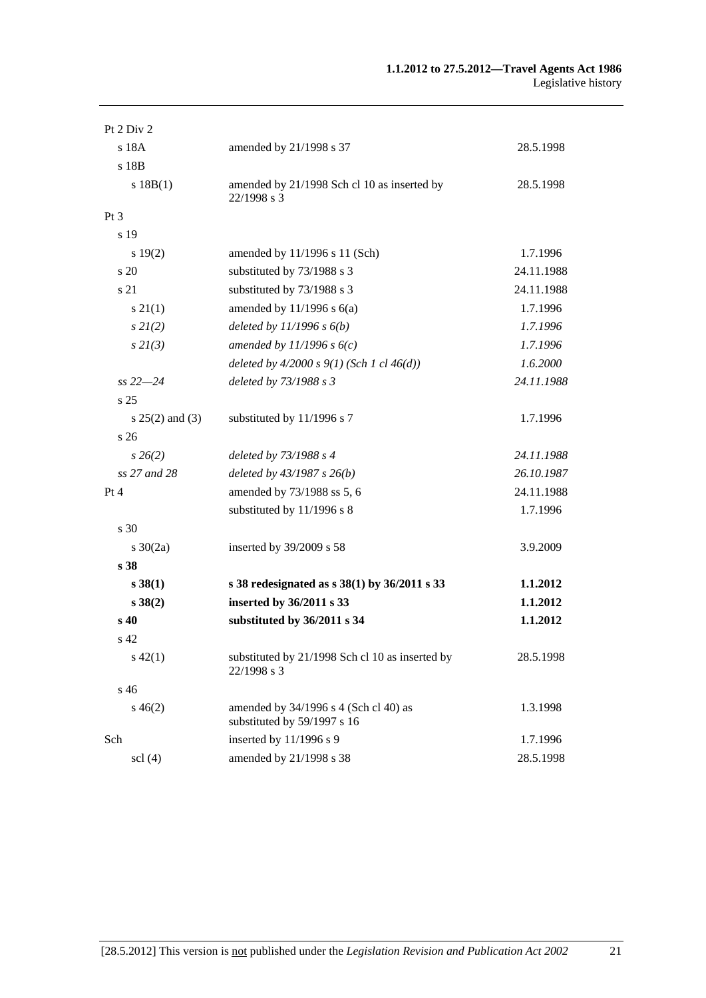#### **1.1.2012 to 27.5.2012—Travel Agents Act 1986**  Legislative history

| Pt 2 Div 2                    |                                                                      |            |
|-------------------------------|----------------------------------------------------------------------|------------|
| s 18A                         | amended by 21/1998 s 37                                              | 28.5.1998  |
| s 18B                         |                                                                      |            |
| s 18B(1)                      | amended by 21/1998 Sch cl 10 as inserted by<br>22/1998 s 3           | 28.5.1998  |
| Pt <sub>3</sub>               |                                                                      |            |
| s 19                          |                                                                      |            |
| s 19(2)                       | amended by 11/1996 s 11 (Sch)                                        | 1.7.1996   |
| s 20                          | substituted by 73/1988 s 3                                           | 24.11.1988 |
| s 21                          | substituted by 73/1988 s 3                                           | 24.11.1988 |
| $s \, 21(1)$                  | amended by $11/1996$ s $6(a)$                                        | 1.7.1996   |
| $s\,2I(2)$                    | deleted by $11/1996 s 6(b)$                                          | 1.7.1996   |
| s2I(3)                        | amended by $11/1996 s 6(c)$                                          | 1.7.1996   |
|                               | deleted by $4/2000 s 9(1)$ (Sch 1 cl $46(d)$ )                       | 1.6.2000   |
| $ss 22 - 24$                  | deleted by 73/1988 s 3                                               | 24.11.1988 |
| s 25                          |                                                                      |            |
| $s 25(2)$ and (3)             | substituted by 11/1996 s 7                                           | 1.7.1996   |
| s 26                          |                                                                      |            |
| $s\,26(2)$                    | deleted by 73/1988 s 4                                               | 24.11.1988 |
| ss 27 and 28                  | deleted by $43/1987 s 26(b)$                                         | 26.10.1987 |
| Pt 4                          | amended by 73/1988 ss 5, 6                                           | 24.11.1988 |
|                               | substituted by 11/1996 s 8                                           | 1.7.1996   |
| s 30                          |                                                                      |            |
| s $30(2a)$                    | inserted by 39/2009 s 58                                             | 3.9.2009   |
| s 38                          |                                                                      |            |
| $s \, 38(1)$                  | s 38 redesignated as $s$ 38(1) by 36/2011 s 33                       | 1.1.2012   |
| s 38(2)                       | inserted by 36/2011 s 33                                             | 1.1.2012   |
| s <sub>40</sub>               | substituted by 36/2011 s 34                                          | 1.1.2012   |
| s 42                          |                                                                      |            |
| $s\,42(1)$                    | substituted by 21/1998 Sch cl 10 as inserted by<br>22/1998 s 3       | 28.5.1998  |
| s 46                          |                                                                      |            |
| $s\,46(2)$                    | amended by 34/1996 s 4 (Sch cl 40) as<br>substituted by 59/1997 s 16 | 1.3.1998   |
| Sch                           | inserted by 11/1996 s 9                                              | 1.7.1996   |
| $\text{ }$ scl $\text{ }$ (4) | amended by 21/1998 s 38                                              | 28.5.1998  |